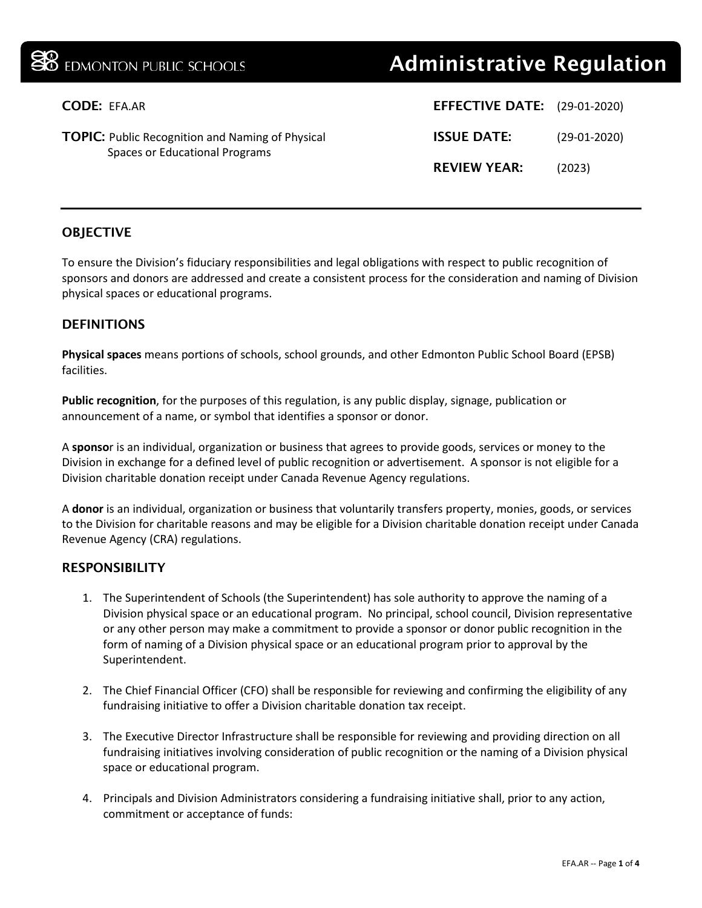# **B** EDMONTON PUBLIC SCHOOLS **Administrative Regulation**

| CODE: EFA.AR                                                                              | <b>EFFECTIVE DATE:</b> (29-01-2020) |                |
|-------------------------------------------------------------------------------------------|-------------------------------------|----------------|
| <b>TOPIC:</b> Public Recognition and Naming of Physical<br>Spaces or Educational Programs | <b>ISSUE DATE:</b>                  | $(29-01-2020)$ |
|                                                                                           | <b>REVIEW YEAR:</b>                 | (2023)         |
|                                                                                           |                                     |                |

## **OBJECTIVE**

To ensure the Division's fiduciary responsibilities and legal obligations with respect to public recognition of sponsors and donors are addressed and create a consistent process for the consideration and naming of Division physical spaces or educational programs.

### **DEFINITIONS**

**Physical spaces** means portions of schools, school grounds, and other Edmonton Public School Board (EPSB) facilities.

**Public recognition**, for the purposes of this regulation, is any public display, signage, publication or announcement of a name, or symbol that identifies a sponsor or donor.

A **sponso**r is an individual, organization or business that agrees to provide goods, services or money to the Division in exchange for a defined level of public recognition or advertisement. A sponsor is not eligible for a Division charitable donation receipt under Canada Revenue Agency regulations.

A **donor** is an individual, organization or business that voluntarily transfers property, monies, goods, or services to the Division for charitable reasons and may be eligible for a Division charitable donation receipt under Canada Revenue Agency (CRA) regulations.

#### **RESPONSIBILITY**

- 1. The Superintendent of Schools (the Superintendent) has sole authority to approve the naming of a Division physical space or an educational program.No principal, school council, Division representative or any other person may make a commitment to provide a sponsor or donor public recognition in the form of naming of a Division physical space or an educational program prior to approval by the Superintendent.
- 2. The Chief Financial Officer (CFO) shall be responsible for reviewing and confirming the eligibility of any fundraising initiative to offer a Division charitable donation tax receipt.
- 3. The Executive Director Infrastructure shall be responsible for reviewing and providing direction on all fundraising initiatives involving consideration of public recognition or the naming of a Division physical space or educational program.
- 4. Principals and Division Administrators considering a fundraising initiative shall, prior to any action, commitment or acceptance of funds: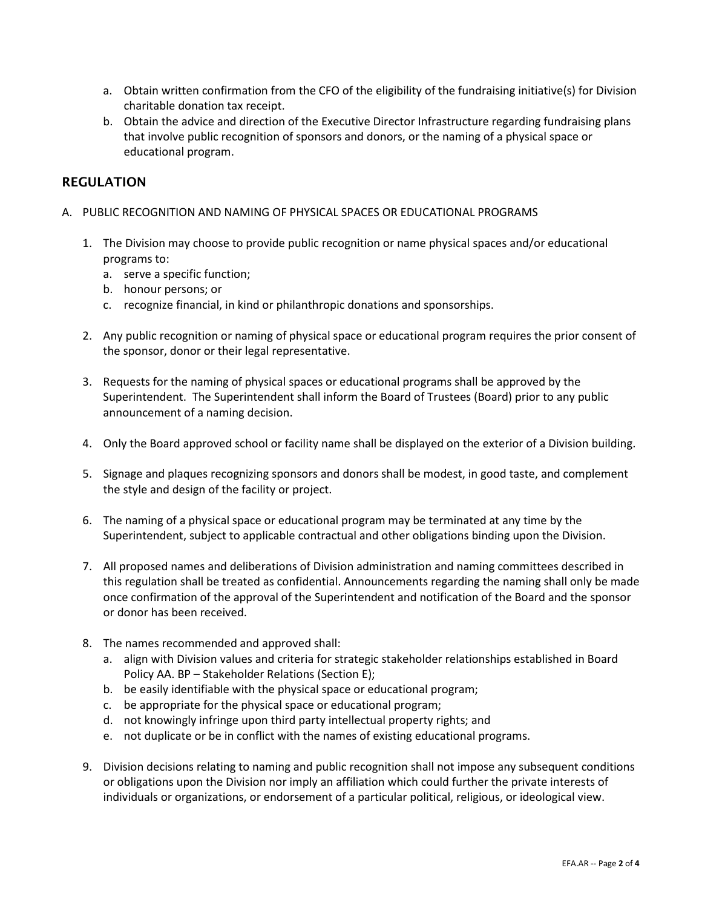- a. Obtain written confirmation from the CFO of the eligibility of the fundraising initiative(s) for Division charitable donation tax receipt.
- b. Obtain the advice and direction of the Executive Director Infrastructure regarding fundraising plans that involve public recognition of sponsors and donors, or the naming of a physical space or educational program.

#### REGULATION

- A. PUBLIC RECOGNITION AND NAMING OF PHYSICAL SPACES OR EDUCATIONAL PROGRAMS
	- 1. The Division may choose to provide public recognition or name physical spaces and/or educational programs to:
		- a. serve a specific function;
		- b. honour persons; or
		- c. recognize financial, in kind or philanthropic donations and sponsorships.
	- 2. Any public recognition or naming of physical space or educational program requires the prior consent of the sponsor, donor or their legal representative.
	- 3. Requests for the naming of physical spaces or educational programs shall be approved by the Superintendent. The Superintendent shall inform the Board of Trustees (Board) prior to any public announcement of a naming decision.
	- 4. Only the Board approved school or facility name shall be displayed on the exterior of a Division building.
	- 5. Signage and plaques recognizing sponsors and donors shall be modest, in good taste, and complement the style and design of the facility or project.
	- 6. The naming of a physical space or educational program may be terminated at any time by the Superintendent, subject to applicable contractual and other obligations binding upon the Division.
	- 7. All proposed names and deliberations of Division administration and naming committees described in this regulation shall be treated as confidential. Announcements regarding the naming shall only be made once confirmation of the approval of the Superintendent and notification of the Board and the sponsor or donor has been received.
	- 8. The names recommended and approved shall:
		- a. align with Division values and criteria for strategic stakeholder relationships established in Board Policy AA. BP – Stakeholder Relations (Section E);
		- b. be easily identifiable with the physical space or educational program;
		- c. be appropriate for the physical space or educational program;
		- d. not knowingly infringe upon third party intellectual property rights; and
		- e. not duplicate or be in conflict with the names of existing educational programs.
	- 9. Division decisions relating to naming and public recognition shall not impose any subsequent conditions or obligations upon the Division nor imply an affiliation which could further the private interests of individuals or organizations, or endorsement of a particular political, religious, or ideological view.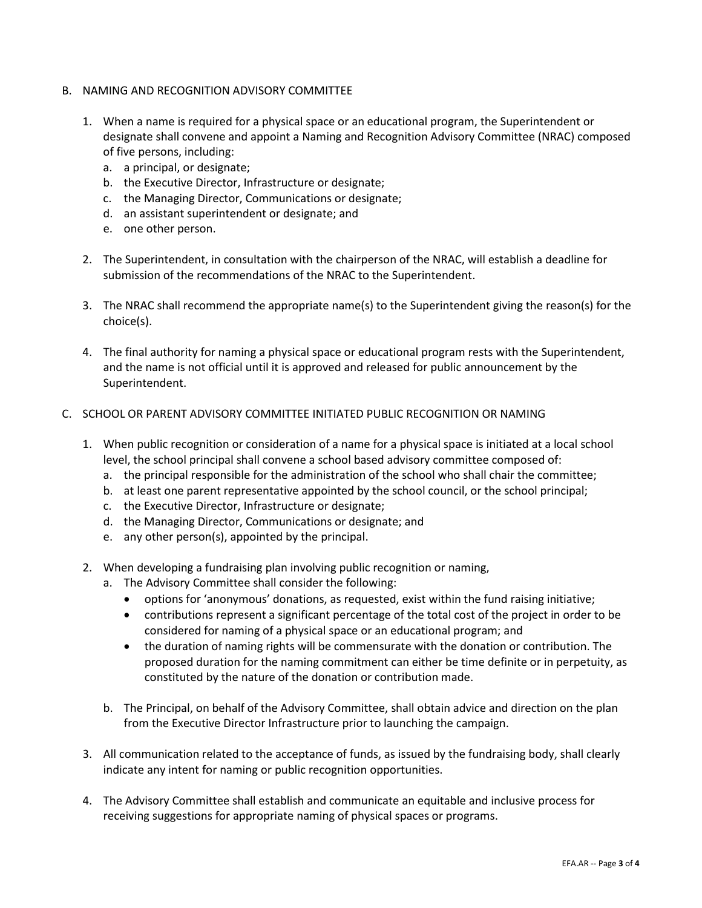- B. NAMING AND RECOGNITION ADVISORY COMMITTEE
	- 1. When a name is required for a physical space or an educational program, the Superintendent or designate shall convene and appoint a Naming and Recognition Advisory Committee (NRAC) composed of five persons, including:
		- a. a principal, or designate;
		- b. the Executive Director, Infrastructure or designate;
		- c. the Managing Director, Communications or designate;
		- d. an assistant superintendent or designate; and
		- e. one other person.
	- 2. The Superintendent, in consultation with the chairperson of the NRAC, will establish a deadline for submission of the recommendations of the NRAC to the Superintendent.
	- 3. The NRAC shall recommend the appropriate name(s) to the Superintendent giving the reason(s) for the choice(s).
	- 4. The final authority for naming a physical space or educational program rests with the Superintendent, and the name is not official until it is approved and released for public announcement by the Superintendent.

#### C. SCHOOL OR PARENT ADVISORY COMMITTEE INITIATED PUBLIC RECOGNITION OR NAMING

- 1. When public recognition or consideration of a name for a physical space is initiated at a local school level, the school principal shall convene a school based advisory committee composed of:
	- a. the principal responsible for the administration of the school who shall chair the committee;
	- b. at least one parent representative appointed by the school council, or the school principal;
	- c. the Executive Director, Infrastructure or designate;
	- d. the Managing Director, Communications or designate; and
	- e. any other person(s), appointed by the principal.
- 2. When developing a fundraising plan involving public recognition or naming,
	- a. The Advisory Committee shall consider the following:
		- options for 'anonymous' donations, as requested, exist within the fund raising initiative;
		- contributions represent a significant percentage of the total cost of the project in order to be considered for naming of a physical space or an educational program; and
		- the duration of naming rights will be commensurate with the donation or contribution. The proposed duration for the naming commitment can either be time definite or in perpetuity, as constituted by the nature of the donation or contribution made.
	- b. The Principal, on behalf of the Advisory Committee, shall obtain advice and direction on the plan from the Executive Director Infrastructure prior to launching the campaign.
- 3. All communication related to the acceptance of funds, as issued by the fundraising body, shall clearly indicate any intent for naming or public recognition opportunities.
- 4. The Advisory Committee shall establish and communicate an equitable and inclusive process for receiving suggestions for appropriate naming of physical spaces or programs.